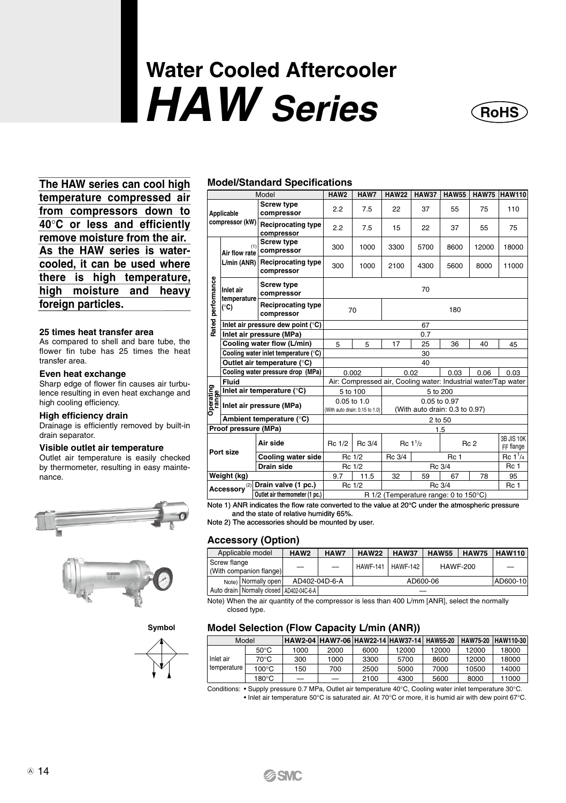# **Water Cooled Aftercooler** *HAW Series* **RoHS**



**The HAW series can cool high temperature compressed air from compressors down to 40**°**C or less and efficiently remove moisture from the air. As the HAW series is watercooled, it can be used where there is high temperature, high moisture and heavy foreign particles.**

#### **25 times heat transfer area**

As compared to shell and bare tube, the flower fin tube has 25 times the heat transfer area.

#### **Even heat exchange**

Sharp edge of flower fin causes air turbulence resulting in even heat exchange and high cooling efficiency.

#### **High efficiency drain**

Drainage is efficiently removed by built-in drain separator.

#### **Visible outlet air temperature**

Outlet air temperature is easily checked by thermometer, resulting in easy maintenance.





**Symbol**



#### **Model/Standard Specifications**

|                   |                                                 | Model                                                                                                                                                              | HAW2                                                           | HAW7                                          | <b>HAW22</b>                          | <b>HAW37</b>                                   | <b>HAW55</b>    | <b>HAW75</b>         | <b>HAW110</b>           |  |  |  |
|-------------------|-------------------------------------------------|--------------------------------------------------------------------------------------------------------------------------------------------------------------------|----------------------------------------------------------------|-----------------------------------------------|---------------------------------------|------------------------------------------------|-----------------|----------------------|-------------------------|--|--|--|
|                   | Applicable                                      | <b>Screw type</b><br>compressor                                                                                                                                    | 2.2                                                            | 7.5                                           | 22                                    | 37                                             | 55              | 75                   | 110                     |  |  |  |
|                   | compressor (kW)                                 | <b>Reciprocating type</b><br>compressor                                                                                                                            | 2.2                                                            | 7.5                                           | 15                                    | 22                                             | 37              | 55                   | 75                      |  |  |  |
|                   | (1)<br>Air flow rate                            | <b>Screw type</b><br>compressor                                                                                                                                    | 300                                                            | 1000                                          | 3300                                  | 5700                                           | 12000<br>8600   |                      | 18000                   |  |  |  |
|                   | L/min (ANR)                                     | <b>Reciprocating type</b><br>compressor                                                                                                                            | 300                                                            | 1000                                          | 2100                                  | 4300                                           | 5600            | 8000                 | 11000                   |  |  |  |
| Rated performance | Inlet air<br>temperature                        | <b>Screw type</b><br>compressor                                                                                                                                    | 70                                                             |                                               |                                       |                                                |                 |                      |                         |  |  |  |
|                   | <b>Reciprocating type</b><br>(°C)<br>compressor |                                                                                                                                                                    |                                                                | 70                                            | 180                                   |                                                |                 |                      |                         |  |  |  |
|                   |                                                 | Inlet air pressure dew point (°C)                                                                                                                                  |                                                                |                                               |                                       | 67                                             |                 |                      |                         |  |  |  |
|                   |                                                 | Inlet air pressure (MPa)                                                                                                                                           |                                                                |                                               |                                       | 0.7                                            |                 |                      |                         |  |  |  |
|                   |                                                 | Cooling water flow (L/min)                                                                                                                                         | 5                                                              | 5                                             | 17                                    | 25                                             | 36              | 40                   | 45                      |  |  |  |
|                   |                                                 | Cooling water inlet temperature (°C)                                                                                                                               |                                                                |                                               |                                       | 30                                             |                 |                      |                         |  |  |  |
|                   |                                                 | Outlet air temperature (°C)                                                                                                                                        |                                                                |                                               |                                       | 40                                             |                 |                      |                         |  |  |  |
|                   |                                                 | Cooling water pressure drop (MPa)                                                                                                                                  |                                                                | 0.002                                         | 0.02                                  |                                                | 0.03            | 0.06                 | 0.03                    |  |  |  |
|                   | Fluid                                           |                                                                                                                                                                    | Air: Compressed air, Cooling water: Industrial water/Tap water |                                               |                                       |                                                |                 |                      |                         |  |  |  |
|                   |                                                 | Inlet air temperature (°C)                                                                                                                                         |                                                                | 5 to 100                                      |                                       | 5 to 200                                       |                 |                      |                         |  |  |  |
|                   |                                                 | <b>Prima</b><br><b>Example 1</b> inlet air temperature (°C<br><b>Algerican Prima</b><br><b>Algerican Prima</b><br><b>Algerican Prima</b><br><b>Algerican Prima</b> |                                                                | 0.05 to 1.0<br>(With auto drain: 0.15 to 1.0) |                                       | 0.05 to 0.97<br>(With auto drain: 0.3 to 0.97) |                 |                      |                         |  |  |  |
|                   |                                                 | Ambient temperature (°C)                                                                                                                                           |                                                                |                                               |                                       | 2 to 50                                        |                 |                      |                         |  |  |  |
|                   | Proof pressure (MPa)                            |                                                                                                                                                                    |                                                                |                                               |                                       |                                                | 1.5             |                      |                         |  |  |  |
|                   | Air side                                        |                                                                                                                                                                    | Rc 1/2                                                         | Rc 3/4                                        |                                       | Rc 1 <sup>1</sup> /2                           |                 | Rc <sub>2</sub>      | 3B JIS 10K<br>FF flange |  |  |  |
|                   | Port size<br>Cooling water side                 |                                                                                                                                                                    |                                                                | Rc 1/2                                        | Rc 3/4                                |                                                | Rc <sub>1</sub> | Rc 1 <sup>1</sup> /4 |                         |  |  |  |
|                   |                                                 | Drain side                                                                                                                                                         |                                                                | Rc 1/2                                        |                                       |                                                | Rc 3/4          |                      | Rc 1                    |  |  |  |
|                   | Weight (kg)                                     |                                                                                                                                                                    | 9.7                                                            | 11.5                                          | 32                                    | 59                                             | 67              | 78                   | 95                      |  |  |  |
|                   | Accessory <sup>(2)</sup>                        | Drain valve (1 pc.)                                                                                                                                                |                                                                | Rc 1/2                                        |                                       | Rc 3/4                                         |                 |                      | Rc 1                    |  |  |  |
|                   | Outlet air thermometer (1 pc.)                  |                                                                                                                                                                    |                                                                |                                               | R 1/2 (Temperature range: 0 to 150°C) |                                                |                 |                      |                         |  |  |  |

Note 1) ANR indicates the flow rate converted to the value at 20°C under the atmospheric pressure and the state of relative humidity 65%.

Note 2) The accessories should be mounted by user.

#### **Accessory (Option)**

|              | Applicable model                             | HAW <sub>2</sub>         | HAW7                     | <b>HAW22</b> | <b>HAW37</b>        | <b>HAW55</b>    | <b>HAW75</b> | <b>HAW110</b> |
|--------------|----------------------------------------------|--------------------------|--------------------------|--------------|---------------------|-----------------|--------------|---------------|
| Screw flange | (With companion flange)                      | $\overline{\phantom{0}}$ | $\overline{\phantom{0}}$ |              | HAWF-141   HAWF-142 | <b>HAWF-200</b> |              |               |
|              | Note) Normally open                          | AD402-04D-6-A            |                          |              | AD600-06            |                 |              | AD600-10      |
|              | Auto drain   Normally closed   AD402-04C-6-A |                          |                          |              |                     |                 |              |               |

Note) When the air quantity of the compressor is less than 400 L/mm [ANR], select the normally closed type.

#### **Model Selection (Flow Capacity L/min (ANR))**

| Model                    |                 | HAW2-04 HAW7-06 HAW22-14 HAW37-14 HAW55-20 |                 |      |       |       |       | HAW75-20 HAW110-30 |
|--------------------------|-----------------|--------------------------------------------|-----------------|------|-------|-------|-------|--------------------|
|                          | $50^{\circ}$ C  | 1000                                       | 2000            | 6000 | 12000 | 12000 | 12000 | 18000              |
| Inlet air<br>temperature | $70^{\circ}$ C  | 300                                        | 1000            | 3300 | 5700  | 8600  | 12000 | 18000              |
|                          | $100^{\circ}$ C | 150                                        | 700             | 2500 | 5000  | 7000  | 10500 | 14000              |
|                          | $180^{\circ}$ C | -                                          | $\qquad \qquad$ | 2100 | 4300  | 5600  | 8000  | 11000              |

Conditions: • Supply pressure 0.7 MPa, Outlet air temperature 40°C, Cooling water inlet temperature 30°C. • Inlet air temperature 50°C is saturated air. At 70°C or more, it is humid air with dew point 67°C.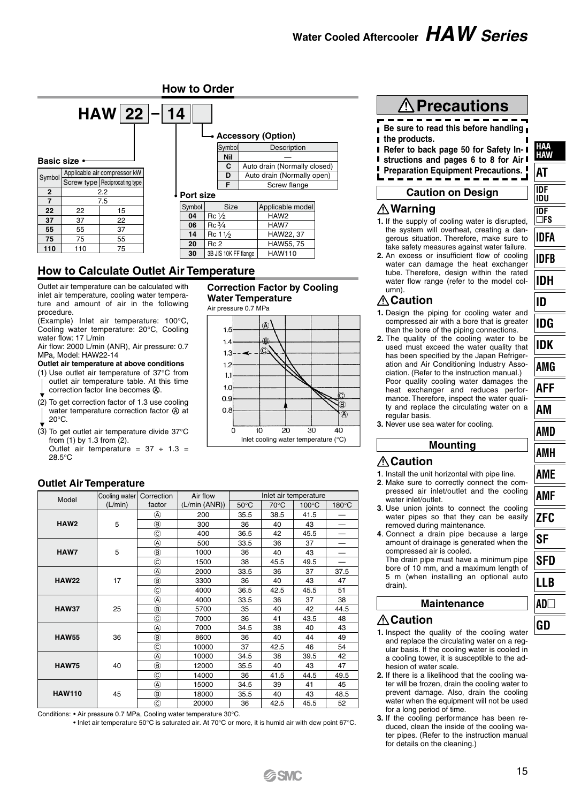#### **How to Order**

|                   |     | $HAW$ 22 $-14$                  |            |                   |                      |  | • Accessory (Option)         |  |  |  |
|-------------------|-----|---------------------------------|------------|-------------------|----------------------|--|------------------------------|--|--|--|
| <b>Basic size</b> |     |                                 |            |                   | Symbol<br><b>Nil</b> |  | Description                  |  |  |  |
|                   |     |                                 |            |                   | C                    |  | Auto drain (Normally closed) |  |  |  |
| Symbol            |     | Applicable air compressor kW    |            |                   | D                    |  | Auto drain (Normally open)   |  |  |  |
|                   |     | Screw type   Reciprocating type |            |                   | F                    |  | Screw flange                 |  |  |  |
| $\overline{2}$    |     | 2.2                             | ↓Port size |                   |                      |  |                              |  |  |  |
| 7                 |     | 7.5                             |            |                   |                      |  |                              |  |  |  |
| 22                | 22  | 15                              | Symbol     |                   | Size                 |  | Applicable model             |  |  |  |
| 37                | 37  | 22                              | 04         | $Re\frac{1}{2}$   |                      |  | HAW <sub>2</sub>             |  |  |  |
| 55                | 55  | 37                              | 06         | $Rc\frac{3}{4}$   |                      |  | HAW7                         |  |  |  |
|                   |     |                                 | 14         | $Re 1\frac{1}{2}$ |                      |  | HAW22, 37                    |  |  |  |
| 75                | 75  | 55                              | 20         | Rc <sub>2</sub>   |                      |  | HAW55, 75                    |  |  |  |
| 110               | 110 | 75                              | 30         |                   | 3B JIS 10K FF flange |  | <b>HAW110</b>                |  |  |  |

# **How to Calculate Outlet Air Temperature**

Outlet air temperature can be calculated with inlet air temperature, cooling water temperature and amount of air in the following procedure.

(Example) Inlet air temperature: 100°C, Cooling water temperature: 20°C, Cooling water flow: 17 L/min

Air flow: 2000 L/min (ANR), Air pressure: 0.7 MPa, Model: HAW22-14

#### **Outlet air temperature at above conditions**

- (1) Use outlet air temperature of 37°C from outlet air temperature table. At this time correction factor line becomes  $\textcircled{a}$
- (2) To get correction factor of 1.3 use cooling water temperature correction factor  $\circledR$  at 20°C.
- (3) To get outlet air temperature divide  $37^{\circ}$ C from (1) by 1.3 from (2). Outlet air temperature =  $37 \div 1.3$  =

28.5°C

#### **Outlet Air Temperature**

|      | Model         | Cooling water Correction |                | Air flow      | Inlet air temperature |      |                 |                 |  |  |  |  |  |
|------|---------------|--------------------------|----------------|---------------|-----------------------|------|-----------------|-----------------|--|--|--|--|--|
|      |               | (L/min)                  | factor         | (L/min (ANR)) | $50^{\circ}$ C        | 70°C | $100^{\circ}$ C | $180^{\circ}$ C |  |  |  |  |  |
|      |               |                          | ⊛              | 200           | 35.5                  | 38.5 | 41.5            |                 |  |  |  |  |  |
| HAW2 |               | 5                        | ®              | 300           | 36                    | 40   | 43              |                 |  |  |  |  |  |
|      |               |                          | O              | 400           | 36.5                  | 42   | 45.5            | -               |  |  |  |  |  |
|      |               |                          | A)             | 500           | 33.5                  | 36   | 37              |                 |  |  |  |  |  |
|      | HAW7          | 5                        | $^{\circledR}$ | 1000          | 36                    | 40   | 43              |                 |  |  |  |  |  |
|      |               |                          | Õ,             | 1500          | 38                    | 45.5 | 49.5            |                 |  |  |  |  |  |
|      |               |                          | @              | 2000          | 33.5                  | 36   | 37              | 37.5            |  |  |  |  |  |
|      | <b>HAW22</b>  | 17                       | $^{\circledR}$ | 3300          | 36                    | 40   | 43              | 47              |  |  |  |  |  |
|      |               |                          | Õ,             | 4000          | 36.5                  | 42.5 | 45.5            | 51              |  |  |  |  |  |
|      |               |                          | ⊛              | 4000          | 33.5                  | 36   | 37              | 38              |  |  |  |  |  |
|      | <b>HAW37</b>  | 25                       | ®              | 5700          | 35                    | 40   | 42              | 44.5            |  |  |  |  |  |
|      |               |                          | Õ,             | 7000          | 36                    | 41   | 43.5            | 48              |  |  |  |  |  |
|      |               |                          | ⊛              | 7000          | 34.5                  | 38   | 40              | 43              |  |  |  |  |  |
|      | <b>HAW55</b>  | 36                       | $^{\circledR}$ | 8600          | 36                    | 40   | 44              | 49              |  |  |  |  |  |
|      |               |                          | Õ,             | 10000         | 37                    | 42.5 | 46              | 54              |  |  |  |  |  |
|      |               |                          | ⊛              | 10000         | 34.5                  | 38   | 39.5            | 42              |  |  |  |  |  |
|      | <b>HAW75</b>  | 40                       | ®              | 12000         | 35.5                  | 40   | 43              | 47              |  |  |  |  |  |
|      |               |                          | Õ,             | 14000         | 36                    | 41.5 | 44.5            | 49.5            |  |  |  |  |  |
|      |               |                          | ⊛              | 15000         | 34.5                  | 39   | 41              | 45              |  |  |  |  |  |
|      | <b>HAW110</b> | 45                       | ◉              | 18000         | 35.5                  | 40   | 43              | 48.5            |  |  |  |  |  |
|      |               |                          | ©              | 20000         | 36                    | 42.5 | 45.5            | 52              |  |  |  |  |  |

Conditions: • Air pressure 0.7 MPa, Cooling water temperature 30°C.

• Inlet air temperature 50°C is saturated air. At 70°C or more, it is humid air with dew point 67°C.

# **Precautions**

**Be sure to read this before handling the products.**  $\blacksquare$ 

- $\blacksquare$ **Refer to back page 50 for Safety In-**
- п **structions and pages 6 to 8 for Air**

**Preparation Equipment Precautions.** 

#### **Caution on Design**

#### **Warning**

- **1.** If the supply of cooling water is disrupted, the system will overheat, creating a dangerous situation. Therefore, make sure to take safety measures against water failure.
- **2.** An excess or insufficient flow of cooling water can damage the heat exchanger tube. Therefore, design within the rated water flow range (refer to the model column).

### **Caution**

- **1.** Design the piping for cooling water and compressed air with a bore that is greater than the bore of the piping connections.
- **2.** The quality of the cooling water to be used must exceed the water quality that has been specified by the Japan Refrigeration and Air Conditioning Industry Association. (Refer to the instruction manual.) Poor quality cooling water damages the heat exchanger and reduces performance. Therefore, inspect the water quality and replace the circulating water on a regular basis.
- **Water Temperature**  Air pressure 0.7 MPa  $\overline{A}$  $1F$  $14$  $\widehat{\mathcal{C}}$  $19$  $12$  $\mathbf{t}$ :  $10$  $\cap$  C ®  $0<sup>5</sup>$  $\overline{\mathbf{A}}$ ċ  $\overline{10}$  $\overline{20}$  $\overline{30}$  $\overline{40}$ Inlet cooling water temperature (°C)

**Correction Factor by Cooling** 

**3.** Never use sea water for cooling.

#### **Mounting**

## **Caution**

- **1**. Install the unit horizontal with pipe line. **2**. Make sure to correctly connect the compressed air inlet/outlet and the cooling
- water inlet/outlet. **3**. Use union joints to connect the cooling
- water pipes so that they can be easily removed during maintenance.
- **4**. Connect a drain pipe because a large amount of drainage is generated when the compressed air is cooled. The drain pipe must have a minimum pipe

bore of 10 mm, and a maximum length of 5 m (when installing an optional auto drain).

#### **Maintenance**

#### **Caution**

- **1.** Inspect the quality of the cooling water and replace the circulating water on a regular basis. If the cooling water is cooled in a cooling tower, it is susceptible to the adhesion of water scale.
- **2.** If there is a likelihood that the cooling water will be frozen, drain the cooling water to prevent damage. Also, drain the cooling water when the equipment will not be used for a long period of time.
- **3.** If the cooling performance has been reduced, clean the inside of the cooling water pipes. (Refer to the instruction manual for details on the cleaning.)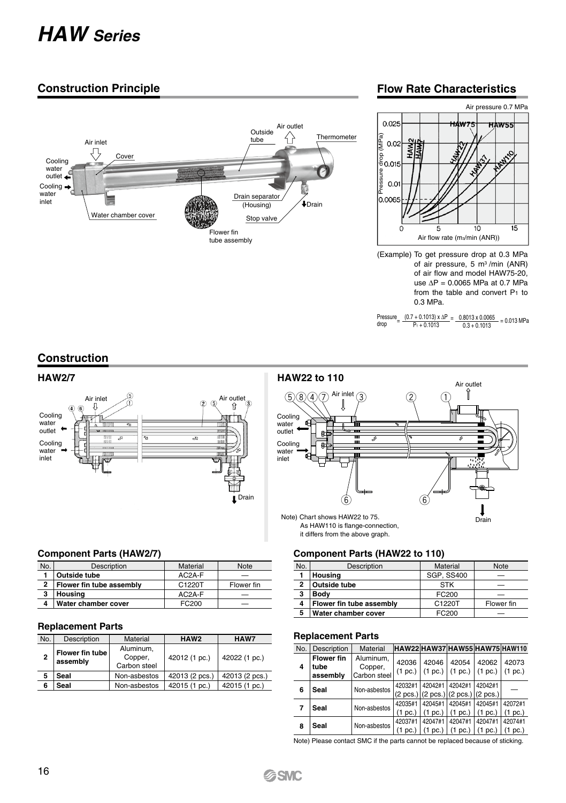# *HAW Series*

# **Construction Principle**



## **Flow Rate Characteristics**



<sup>(</sup>Example) To get pressure drop at 0.3 MPa of air pressure, 5 m3 /min (ANR) of air flow and model HAW75-20, use ∆P = 0.0065 MPa at 0.7 MPa from the table and convert P1 to 0.3 MPa.

# **Construction**



#### **Component Parts (HAW2/7)**

| No. | Description              | Material | <b>Note</b> |
|-----|--------------------------|----------|-------------|
|     | Outside tube             | $AC2A-F$ | -           |
| 2   | Flower fin tube assembly | C1220T   | Flower fin  |
| 3   | Housing                  | AC2A-F   |             |
|     | Water chamber cover      | FC200    |             |

#### **Replacement Parts**

| No. | Description                 | Material                             | HAW <sub>2</sub> | HAW7           |  |  |
|-----|-----------------------------|--------------------------------------|------------------|----------------|--|--|
|     | Flower fin tube<br>assembly | Aluminum.<br>Copper,<br>Carbon steel | 42012 (1 pc.)    | 42022 (1 pc.)  |  |  |
| 5   | Seal                        | Non-asbestos                         | 42013 (2 pcs.)   | 42013 (2 pcs.) |  |  |
|     | Seal                        | Non-asbestos                         | 42015 (1 pc.)    | 42015 (1 pc.)  |  |  |



#### **Component Parts (HAW22 to 110)**

| No.            | Description              | Material          | <b>Note</b> |
|----------------|--------------------------|-------------------|-------------|
|                | Housing                  | <b>SGP. SS400</b> |             |
| $\overline{2}$ | Outside tube             | <b>STK</b>        |             |
| 3              | Body                     | FC200             |             |
| 4              | Flower fin tube assembly | C1220T            | Flower fin  |
| 5              | Water chamber cover      | FC200             |             |

#### **Replacement Parts**

| No. | Description                           | Material                             | HAW22 HAW37 HAW55 HAW75 HAW110 |                                                                                        |                    |                                                                      |                    |
|-----|---------------------------------------|--------------------------------------|--------------------------------|----------------------------------------------------------------------------------------|--------------------|----------------------------------------------------------------------|--------------------|
| 4   | <b>Flower fin</b><br>tube<br>assembly | Aluminum.<br>Copper,<br>Carbon steel | 42036<br>(1~pc.)               | 42046                                                                                  | 42054              | 42062<br>$(1 pc.)$ $(1 pc.)$ $(1 pc.)$                               | 42073<br>(1~pc.)   |
| 6   | Seal                                  | Non-asbestos                         | 42032#1                        | 42042#1<br>$(2 \text{ pcs.})$ $(2 \text{ pcs.})$ $(2 \text{ pcs.})$ $(2 \text{ pcs.})$ | 42042#1            | 42042#1                                                              |                    |
| 7   | Seal                                  | Non-asbestos                         | 42035#1<br>(1~pc.)             | 42045#1<br>(1~pc.)                                                                     | 42045#1<br>(1~pc.) | 42045#1<br>(1~pc.)                                                   | 42072#1<br>(1~pc.) |
| 8   | Seal                                  | Non-asbestos                         | 42037#1                        | 42047#1                                                                                | 42047#1            | 42047#1<br>$(1 pc.)$   $(1 pc.)$   $(1 pc.)$   $(1 pc.)$   $(1 pc.)$ | 42074#1            |

Note) Please contact SMC if the parts cannot be replaced because of sticking.

Pressure  $=$   $\frac{(0.7 + 0.1013) \times \Delta P}{P_1 + 0.1013} = \frac{0.8013 \times 0.0065}{0.3 + 0.1013} = 0.013 \text{ MPa}$